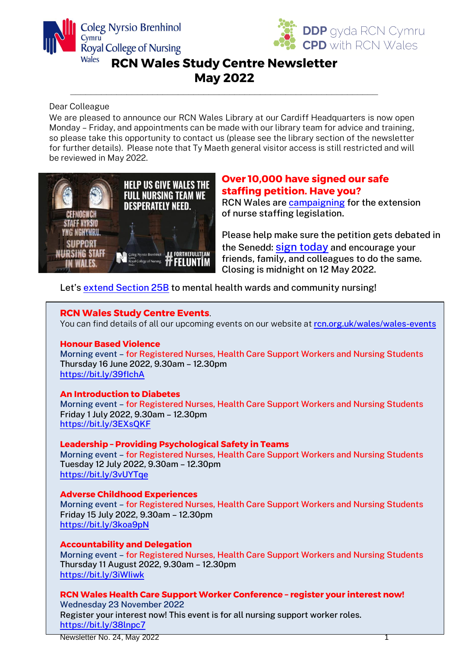



### **RCN Wales Study Centre Newsletter May 2022**

**\_\_\_\_\_\_\_\_\_\_\_\_\_\_\_\_\_\_\_\_\_\_\_\_\_\_\_\_\_\_\_\_\_\_\_\_\_\_\_\_\_\_\_\_\_\_\_\_\_\_\_\_\_\_\_\_\_\_\_\_**

#### Dear Colleague

We are pleased to announce our RCN Wales Library at our Cardiff Headquarters is now open Monday – Friday, and appointments can be made with our library team for advice and training, so please take this opportunity to contact us (please see the library section of the newsletter for further details). Please note that Ty Maeth general visitor access is still restricted and will be reviewed in May 2022.



#### **Over 10,000 have signed our safe staffing petition. Have you?**

RCN Wales are [campaigning](https://forthefullteam.com/) for the extension of nurse staffing legislation.

Please help make sure the petition gets debated in the Senedd: sign [today](https://petitions.senedd.wales/petitions/244999) and encourage your friends, family, and colleagues to do the same. Closing is midnight on 12 May 2022.

Let's [extend Section 25B](https://forthefullteam.com/) to mental health wards and community nursing!

#### **RCN Wales Study Centre Events**.

You can find details of all our upcoming events on our website at [rcn.org.uk/wales/wales-events](https://www.rcn.org.uk/wales/wales-events)

#### **Honour Based Violence**

Morning event – for Registered Nurses, Health Care Support Workers and Nursing Students Thursday 16 June 2022, 9.30am – 12.30pm <https://bit.ly/39fIchA>

#### **An Introduction to Diabetes**

Morning event – for Registered Nurses, Health Care Support Workers and Nursing Students Friday 1 July 2022, 9.30am – 12.30pm <https://bit.ly/3EXsQKF>

#### **Leadership – Providing Psychological Safety in Teams**

Morning event – for Registered Nurses, Health Care Support Workers and Nursing Students Tuesday 12 July 2022, 9.30am – 12.30pm <https://bit.ly/3vUYTqe>

#### **Adverse Childhood Experiences**

Morning event – for Registered Nurses, Health Care Support Workers and Nursing Students Friday 15 July 2022, 9.30am – 12.30pm https://bit.ly/3koa9pN

#### **Accountability and Delegation**

Morning event – for Registered Nurses, Health Care Support Workers and Nursing Students Thursday 11 August 2022, 9.30am – 12.30pm <https://bit.ly/3iWIiwk>

#### **RCN Wales Health Care Support Worker Conference – register your interest now!** Wednesday 23 November 2022

Register your interest now! This event is for all nursing support worker roles. <https://bit.ly/38lnpc7>

Newsletter No. 24, May 2022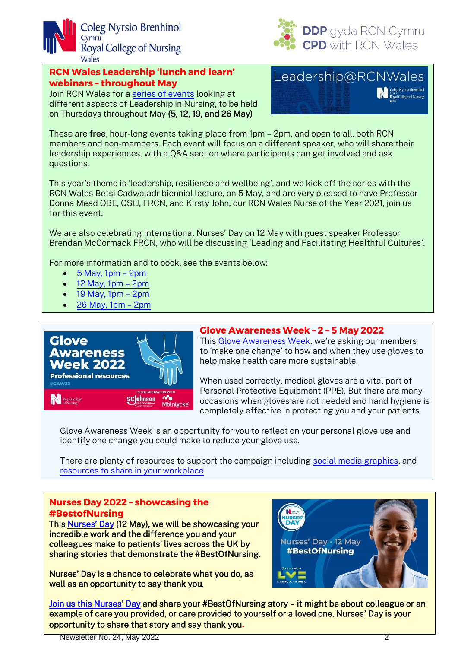



#### **RCN Wales Leadership 'lunch and learn' webinars – throughout May**

Join RCN Wales for a [series of events](https://www.rcn.org.uk/wales/Wales-Events) looking at different aspects of Leadership in Nursing, to be held on Thursdays throughout May (5, 12, 19, and 26 May)

## Leadership@RCNWales

These are free, hour-long events taking place from 1pm – 2pm, and open to all, both RCN members and non-members. Each event will focus on a different speaker, who will share their leadership experiences, with a Q&A section where participants can get involved and ask questions.

This year's theme is 'leadership, resilience and wellbeing', and we kick off the series with the RCN Wales Betsi Cadwaladr biennial lecture, on 5 May, and are very pleased to have Professor Donna Mead OBE, CStJ, FRCN, and Kirsty John, our RCN Wales Nurse of the Year 2021, join us for this event.

We are also celebrating International Nurses' Day on 12 May with guest speaker Professor Brendan McCormack FRCN, who will be discussing 'Leading and Facilitating Healthful Cultures'.

For more information and to book, see the events below:

- $\bullet$  [5 May, 1pm](https://www.rcn.org.uk/news-and-events/events/w-rcn-wales-betsi-cadwaladr-biennial-lecture-lunch-and-learn-webinar-050522)  2pm
- $\bullet$  [12 May, 1pm](https://www.rcn.org.uk/news-and-events/events/w-rcn-wales-nurses-day-leading-and-facilitating-healthful-cultures-lunch-and-learn-webinar-120522)  2pm
- [19 May, 1pm](https://www.rcn.org.uk/news-and-events/events/w-rcn-wales-leadership-lunch-and-learn-webinar-190522)  2pm
- [26 May, 1pm](https://www.rcn.org.uk/news-and-events/events/w-rcn-wales-leadership-lunch-and-learn-webinar-supervision-and-support-260522)  2pm



#### **Glove Awareness Week – 2 – 5 May 2022**

Thi[s Glove Awareness Week](https://www.rcn.org.uk/Get-Involved/Campaign-with-us/Glove-awareness), we're asking our members to 'make one change' to how and when they use gloves to help make health care more sustainable.

When used correctly, medical gloves are a vital part of Personal Protective Equipment (PPE). But there are many occasions when gloves are not needed and hand hygiene is completely effective in protecting you and your patients.

Glove Awareness Week is an opportunity for you to reflect on your personal glove use and identify one change you could make to reduce your glove use.

There are plenty of resources to support the campaign including [social media graphics,](https://www.rcn.org.uk/Get-Involved/Campaign-with-us/Glove-awareness/resources#GAWresources) and [resources to share in your workplace](https://www.rcn.org.uk/Get-Involved/Campaign-with-us/Glove-awareness/resources#GAWresources)

#### **Nurses Day 2022 – showcasing the #BestofNursing**

This [Nurses' Day](https://www.rcn.org.uk/Get-Involved/Campaign-with-us/Nurses-Day) (12 May), we will be showcasing your incredible work and the difference you and your colleagues make to patients' lives across the UK by sharing stories that demonstrate the #BestOfNursing.

Nurses' Day is a chance to celebrate what you do, as well as an opportunity to say thank you.



[Join us this Nurses' Day](https://www.rcn.org.uk/Get-Involved/Campaign-with-us/Nurses-Day) and share your #BestOfNursing story – it might be about colleague or an example of care you provided, or care provided to yourself or a loved one. Nurses' Day is your opportunity to share that story and say thank you**.**

Newsletter No. 24, May 2022 2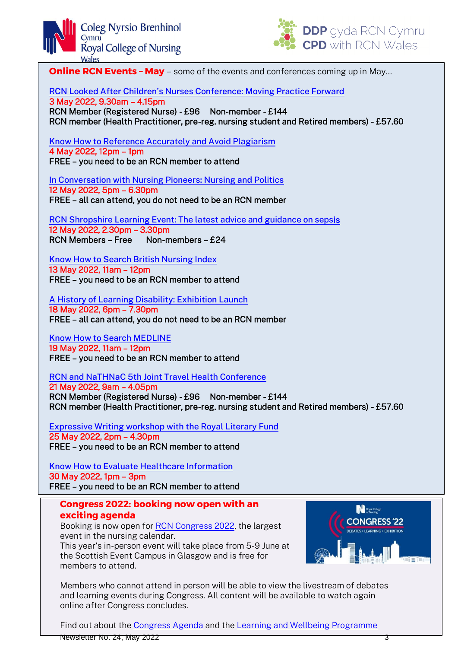



**Online RCN Events - May** – some of the events and conferences coming up in May...

[RCN Looked After Children's Nurses Conference: Moving Practice Forward](https://www.rcn.org.uk/news-and-events/events/uk-looked-after-children-conference-03522)

3 May 2022, 9.30am – 4.15pm RCN Member (Registered Nurse) - £96 Non-member - £144 RCN member (Health Practitioner, pre-reg. nursing student and Retired members) - £57.60

[Know How to Reference Accurately and Avoid Plagiarism](https://www.rcn.org.uk/news-and-events/events/lib-know-how-to-reference-accurately-and-avoid-plagiarism-040522) 4 May 2022, 12pm – 1pm FREE – you need to be an RCN member to attend

[In Conversation with Nursing Pioneers: Nursing and Politics](https://www.rcn.org.uk/news-and-events/events/lib-nursing-and-politics-120522) 12 May 2022, 5pm – 6.30pm FREE – all can attend, you do not need to be an RCN member

[RCN Shropshire Learning Event: The latest advice and guidance on seps](https://www.rcn.org.uk/news-and-events/events/wm-shropshire-lle-120522)is 12 May 2022, 2.30pm – 3.30pm RCN Members – Free Non-members – £24

[Know How to Search British Nursing Index](https://www.rcn.org.uk/news-and-events/events/lib-know-how-to-search-bni-130522) 13 May 2022, 11am – 12pm FREE – you need to be an RCN member to attend

[A History of Learning Disability: Exhibition Launch](https://www.rcn.org.uk/news-and-events/events/lib-disability-exhibition-launch-180522) 18 May 2022, 6pm – 7.30pm FREE – all can attend, you do not need to be an RCN member

[Know How to Search MEDLINE](https://www.rcn.org.uk/news-and-events/events/lib-know-how-to-search-medline-190522) 19 May 2022, 11am – 12pm FREE – you need to be an RCN member to attend

[RCN and NaTHNaC 5th Joint Travel Health Conference](https://www.rcn.org.uk/news-and-events/events/uk-rcn-and-nathnac-5th-joint-travel-health-conference-150521)

21 May 2022, 9am – 4.05pm RCN Member (Registered Nurse) - £96 Non-member - £144 RCN member (Health Practitioner, pre-reg. nursing student and Retired members) - £57.60

[Expressive Writing workshop with the Royal Literary Fund](https://www.rcn.org.uk/news-and-events/events/lib-expressive-writing-workshop-with-the-rlf-250522) 25 May 2022, 2pm – 4.30pm FREE – you need to be an RCN member to attend

[Know How to Evaluate Healthcare Information](https://www.rcn.org.uk/news-and-events/events/lib-know-how-to-evaluate-healthcare-information-300522) 30 May 2022, 1pm – 3pm FREE – you need to be an RCN member to attend

**Congress 2022: booking now open with an exciting agenda** 

Booking is now open for [RCN Congress 2022,](https://www.rcn.org.uk/congress) the largest event in the nursing calendar. This year's in-person event will take place from 5-9 June at the Scottish Event Campus in Glasgow and is free for members to attend.



Members who cannot attend in person will be able to view the livestream of debates and learning events during Congress. All content will be available to watch again online after Congress concludes.

Newsletter No. 24, May 2022 3 Find out about th[e Congress Agenda](https://www.rcn.org.uk/congress/agenda-2022) and the [Learning and Wellbeing Programme](https://www.rcn.org.uk/congress/learning-and-wellbeing-programme)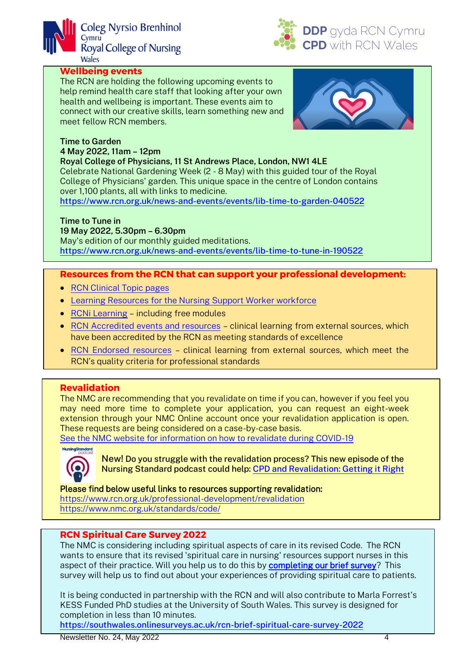



#### **Wellbeing events**

The RCN are holding the following upcoming events to help remind health care staff that looking after your own health and wellbeing is important. These events aim to connect with our creative skills, learn something new and meet fellow RCN members.



#### **Time to Garden 4 May 2022, 11am – 12pm**

**Royal College of Physicians, 11 St Andrews Place, London, NW1 4LE** Celebrate National Gardening Week (2 - 8 May) with this guided tour of the Royal

College of Physicians' garden. This unique space in the centre of London contains over 1,100 plants, all with links to medicine.

<https://www.rcn.org.uk/news-and-events/events/lib-time-to-garden-040522>

#### **Time to Tune in**

#### **19 May 2022, 5.30pm – 6.30pm**

May's edition of our monthly guided meditations. <https://www.rcn.org.uk/news-and-events/events/lib-time-to-tune-in-190522>

#### **Resources from the RCN that can support your professional development:**

- [RCN Clinical Topic pages](https://www.rcn.org.uk/clinical-topics)
- [Learning Resources for the Nursing Support Worker workforce](https://www.rcn.org.uk/professional-development/nursing-support-workers)
- [RCNi Learning](https://rcnilearning.com/) including free modules
- [RCN Accredited events and resources](https://www.rcn.org.uk/professional-development/professional-services/accreditation/accredited-events-and-resources) clinical learning from external sources, which have been accredited by the RCN as meeting standards of excellence
- [RCN Endorsed resources](https://www.rcn.org.uk/workingwithus/accreditation-and-endorsement/endorsement/endorsed-resources) clinical learning from external sources, which meet the RCN's quality criteria for professional standards

#### **Revalidation**

The NMC are recommending that you revalidate on time if you can, however if you feel you may need more time to complete your application, you can request an eight-week extension through your NMC Online account once your revalidation application is open. These requests are being considered on a case-by-case basis.

[See the NMC website for information on how to revalidate during COVID-19](https://www.nmc.org.uk/news/coronavirus/information-for-nurses-midwives-and-nursing-associates/revalidation/)



New! Do you struggle with the revalidation process? This new episode of the Nursing Standard podcast could help: [CPD and Revalidation: Getting it Right](https://rcni.com/nursing-standard/newsroom/podcast/revalidation-do-you-struggle-process-our-podcast-can-help-183101) 

#### Please find below useful links to resources supporting revalidation:

<https://www.rcn.org.uk/professional-development/revalidation> <https://www.nmc.org.uk/standards/code/>

#### **RCN Spiritual Care Survey 2022**

The NMC is considering including spiritual aspects of care in its revised Code. The RCN wants to ensure that its revised 'spiritual care in nursing' resources support nurses in this aspect of their practice. Will you help us to do this by **completing our brief survey?** This survey will help us to find out about your experiences of providing spiritual care to patients.

It is being conducted in partnership with the RCN and will also contribute to Marla Forrest's KESS Funded PhD studies at the University of South Wales. This survey is designed for completion in less than 10 minutes.

<https://southwales.onlinesurveys.ac.uk/rcn-brief-spiritual-care-survey-2022>

Newsletter No. 24, May 2022 4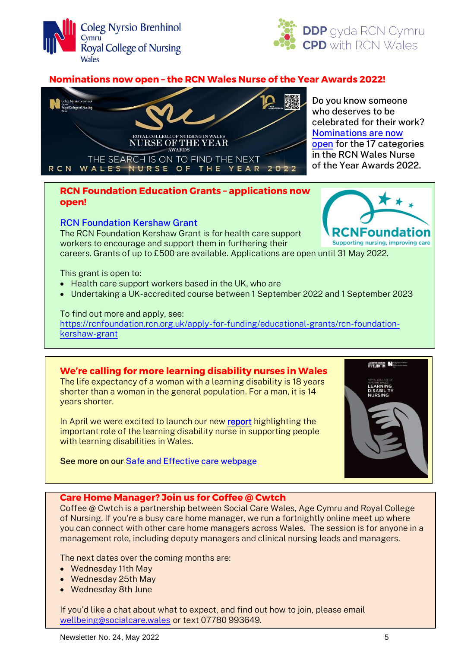



#### **Nominations now open – the RCN Wales Nurse of the Year Awards 2022!**



Do you know someone who deserves to be celebrated for their work? [Nominations are now](https://www.rcn.org.uk/wales/Get-Involved/Awards)  [open](https://www.rcn.org.uk/wales/Get-Involved/Awards) for the 17 categories in the RCN Wales Nurse of the Year Awards 2022.

> Found Supporting nursing, improving care

#### **RCN Foundation Education Grants – applications now open!**

#### [RCN Foundation Kershaw Grant](https://rcnfoundation.rcn.org.uk/apply-for-funding/educational-grants/rcn-foundation-kershaw-grant)

The RCN Foundation Kershaw Grant is for health care support workers to encourage and support them in furthering their

careers. Grants of up to £500 are available. Applications are open until 31 May 2022.

This grant is open to:

- Health care support workers based in the UK, who are
- Undertaking a UK-accredited course between 1 September 2022 and 1 September 2023

#### To find out more and apply, see:

[https://rcnfoundation.rcn.org.uk/apply-for-funding/educational-grants/rcn-foundation](https://rcnfoundation.rcn.org.uk/apply-for-funding/educational-grants/rcn-foundation-kershaw-grant)[kershaw-grant](https://rcnfoundation.rcn.org.uk/apply-for-funding/educational-grants/rcn-foundation-kershaw-grant)

#### **We're calling for more learning disability nurses in Wales**

The life expectancy of a woman with a learning disability is 18 years shorter than a woman in the general population. For a man, it is 14 years shorter.

In April we were excited to launch our ne[w report](https://www.rcn.org.uk/news-and-events/news/rcn-wales-calls-for-more-learning-disability-consultant-nurses-in-wales) highlighting the important role of the learning disability nurse in supporting people with learning disabilities in Wales.

See more on ou[r Safe and Effective care webpage](https://www.rcn.org.uk/wales/get-involved/safe-and-effective-care)



#### **Care Home Manager? Join us for Coffee @ Cwtch**

Coffee @ Cwtch is a partnership between Social Care Wales, Age Cymru and Royal College of Nursing. If you're a busy care home manager, we run a fortnightly online meet up where you can connect with other care home managers across Wales. The session is for anyone in a management role, including deputy managers and clinical nursing leads and managers.

The next dates over the coming months are:

- Wednesday 11th May
- Wednesday 25th May
- Wednesday 8th June

If you'd like a chat about what to expect, and find out how to join, please email [wellbeing@socialcare.wales](mailto:wellbeing@socialcare.wales) or text 07780 993649.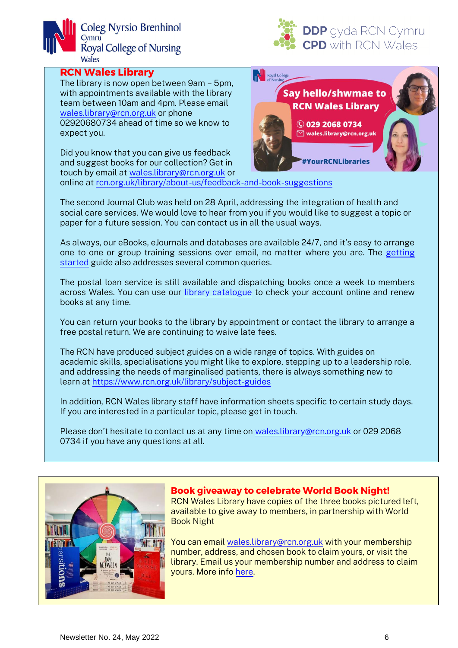



#### **RCN Wales Library**

The library is now open between 9am – 5pm, with appointments available with the library team between 10am and 4pm. Please email [wales.library@rcn.org.uk](mailto:wales.library@rcn.org.uk) or phone 02920680734 ahead of time so we know to expect you.

Did you know that you can give us feedback and suggest books for our collection? Get in touch by email at [wales.library@rcn.org.uk](mailto:wales.library@rcn.org.uk) or



online a[t rcn.org.uk/library/about-us/feedback-and-book-suggestions](https://www.rcn.org.uk/library/about-us/feedback-and-book-suggestions)

The second Journal Club was held on 28 April, addressing the integration of health and social care services. We would love to hear from you if you would like to suggest a topic or paper for a future session. You can contact us in all the usual ways.

As always, our eBooks, eJournals and databases are available 24/7, and it's easy to arrange one to one or group training sessions over email, no matter where you are. The [getting](https://www.rcn.org.uk/library/subject-guides/getting-started-using-the-library)  [started](https://www.rcn.org.uk/library/subject-guides/getting-started-using-the-library) guide also addresses several common queries.

The postal loan service is still available and dispatching books once a week to members across Wales. You can use our [library catalogue](http://rcn.sirsidynix.net.uk/uhtbin/cgisirsi/x/x/0/49) to check your account online and renew books at any time.

You can return your books to the library by appointment or contact the library to arrange a free postal return. We are continuing to waive late fees.

The RCN have produced subject guides on a wide range of topics. With guides on academic skills, specialisations you might like to explore, stepping up to a leadership role, and addressing the needs of marginalised patients, there is always something new to learn at<https://www.rcn.org.uk/library/subject-guides>

In addition, RCN Wales library staff have information sheets specific to certain study days. If you are interested in a particular topic, please get in touch.

Please don't hesitate to contact us at any time on [wales.library@rcn.org.uk](mailto:wales.library@rcn.org.uk) or 029 2068 0734 if you have any questions at all.



#### **Book giveaway to celebrate World Book Night!**

RCN Wales Library have copies of the three books pictured left, available to give away to members, in partnership with World Book Night

You can email [wales.library@rcn.org.uk](mailto:wales.library@rcn.org.uk) with your membership number, address, and chosen book to claim yours, or visit the library. Email us your membership number and address to claim yours. More info [here.](https://www.instagram.com/p/CciCp2kLtsS/)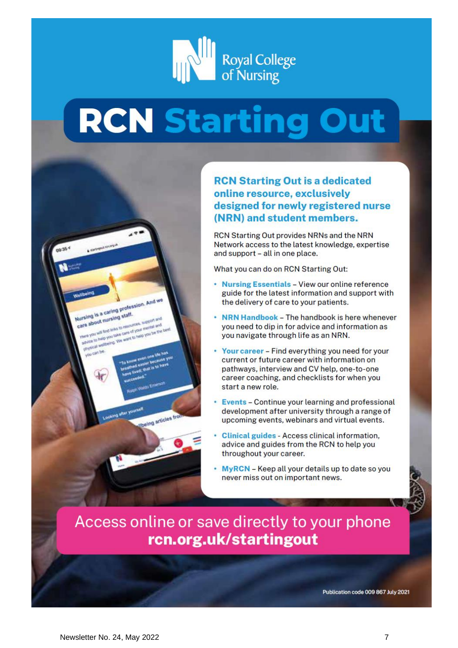

# **RCN Starting Out**

**RCN Starting Out is a dedicated** online resource, exclusively designed for newly registered nurse (NRN) and student members.

RCN Starting Out provides NRNs and the NRN Network access to the latest knowledge, expertise and support - all in one place.

What you can do on RCN Starting Out:

- Nursing Essentials View our online reference guide for the latest information and support with the delivery of care to your patients.
- NRN Handbook The handbook is here whenever you need to dip in for advice and information as you navigate through life as an NRN.
- Your career Find everything you need for your current or future career with information on pathways, interview and CV help, one-to-one career coaching, and checklists for when you start a new role.
- Events Continue your learning and professional development after university through a range of upcoming events, webinars and virtual events.
- Clinical guides Access clinical information, advice and guides from the RCN to help you throughout your career.
- MyRCN Keep all your details up to date so you never miss out on important news.

# Access online or save directly to your phone rcn.org.uk/startingout

Publication code 009 867 July 2021

Nailswife a caring profession. And we<br>Nursing is a caring profession. And we

drate to Medicing the work to help you be the<br>we you will link links to own of your member and<br>we you will links you take cars of your member and<br>drate to Medicing the work to help you be the

philosophy angeles the week in two you have the set of the company of the company of the company of the company of the company of the company of the company of the company of the company of the company of the company of th

**The Mappon and**<br>popular support and

ing articles fro

Nursing is a caring praif.<br>care about nursing staff.

can be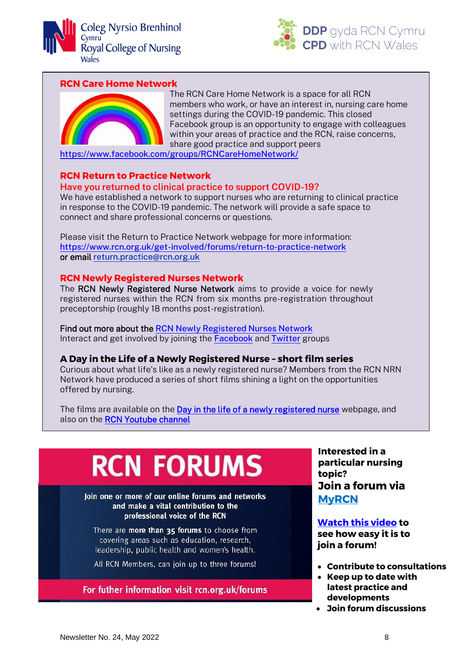



#### **RCN Care Home Network**



The RCN Care Home Network is a space for all RCN members who work, or have an interest in, nursing care home settings during the COVID-19 pandemic. This closed Facebook group is an opportunity to engage with colleagues within your areas of practice and the RCN, raise concerns, share good practice and support peers

<https://www.facebook.com/groups/RCNCareHomeNetwork/>

#### **RCN Return to Practice Network**

#### **Have you returned to clinical practice to support COVID-19?**

We have established a network to support nurses who are returning to clinical practice in response to the COVID-19 pandemic. The network will provide a safe space to connect and share professional concerns or questions.

Please visit the Return to Practice Network webpage for more information: <https://www.rcn.org.uk/get-involved/forums/return-to-practice-network> or email [return.practice@rcn.org.uk](mailto:return.practice@rcn.org.uk)

#### **RCN Newly Registered Nurses Network**

The RCN Newly Registered Nurse Network aims to provide a voice for newly registered nurses within the RCN from six months pre-registration throughout preceptorship (roughly 18 months post-registration).

Find out more about the [RCN Newly Registered Nurses Network](https://www.rcn.org.uk/get-involved/forums/nrn-network) Interact and get involved by joining the [Facebook](https://www.facebook.com/RCNNewlyRegisteredNurses/) and [Twitter](https://twitter.com/RCNNRN) groups

#### **A Day in the Life of a Newly Registered Nurse – short film series**

Curious about what life's like as a newly registered nurse? Members from the RCN NRN Network have produced a series of short films shining a light on the opportunities offered by nursing.

The films are available on the [Day in the life of a newly registered nurse](https://www.rcn.org.uk/get-involved/forums/nrn-network/day-in-the-life-of-a-newly-registered-nurse) webpage, and also on the RCN Youtube channel

# **RCN FORUMS**

loin one or more of our online forums and networks and make a vital contribution to the professional voice of the RCN

There are more than 35 forums to choose from covering areas such as education, research, leadership, public health and women's health.

All RCN Members, can join up to three forums!

#### For futher information visit rcn.org.uk/forums

**Interested in a particular nursing topic? Join a forum via [MyRCN](https://my.rcn.org.uk/Activities)**

**[Watch this video](https://www.youtube.com/watch?v=V5zxej0OKBI) to see how easy it is to join a forum!** 

- **Contribute to consultations**
- **Keep up to date with latest practice and developments**
- **Join forum discussions**

ļ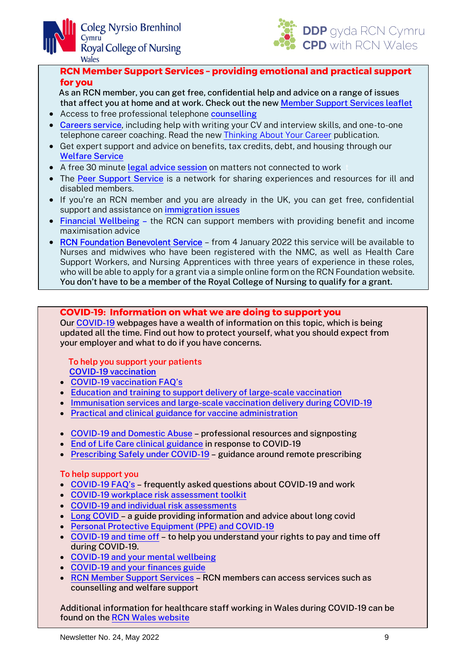



**RCN Member Support Services – providing emotional and practical support for you**

 As an RCN member, you can get free, confidential help and advice on a range of issues that affect you at home and at work. Check out the new [Member Support Services leaflet](https://www.rcn.org.uk/professional-development/publications/member-support-services-leaflet-uk-pub-010-072)

- Access to free professional telephone [counselling](https://www.rcn.org.uk/get-help/member-support-services/counselling-service)
- [Careers service](https://www.rcn.org.uk/professional-development/your-career), including help with writing your CV and interview skills, and one-to-one telephone career coaching. Read the new [Thinking About Your Career](https://www.rcn.org.uk/professional-development/publications/thinking-about-your-career-uk-pub-010-165) publication.
- Get expert support and advice on benefits, tax credits, debt, and housing through our [Welfare Service](https://www.rcn.org.uk/get-help/member-support-services/welfare-service)
- A free 30 minute [legal advice session](https://www.rcn.org.uk/get-help/legal-help/free-legal-advice) on matters not connected to work
- The [Peer Support Service](https://www.rcn.org.uk/get-help/member-support-services/peer-support-services) is a network for sharing experiences and resources for ill and disabled members.
- If you're an RCN member and you are already in the UK, you can get free, confidential support and assistance on *immigration* issues.
- [Financial Wellbeing](https://www.rcn.org.uk/get-help/member-support-services/financial-wellbeing) the RCN can support members with providing benefit and income maximisation advice
- [RCN Foundation Benevolent Service](https://rcnfoundation.rcn.org.uk/apply-for-funding/hardship-grants) from 4 January 2022 this service will be available to Nurses and midwives who have been registered with the NMC, as well as Health Care Support Workers, and Nursing Apprentices with three years of experience in these roles, who will be able to apply for a grant via a simple online form on the RCN Foundation website. You don't have to be a member of the Royal College of Nursing to qualify for a grant.

**COVID-19: Information on what we are doing to support you**

Our [COVID-19](https://www.rcn.org.uk/covid-19) webpages have a wealth of information on this topic, which is being updated all the time. Find out how to protect yourself, what you should expect from your employer and what to do if you have concerns.

#### **To help you support your patients**

 **[COVID-19 vaccination](https://www.rcn.org.uk/clinical-topics/public-health/immunisation/covid-19-vaccination/)**

- COVID-[19 vaccination FAQ's](https://www.rcn.org.uk/get-help/rcn-advice/covid-19-and-vaccination)
- [Education and training to support delivery of large-scale](https://www.rcn.org.uk/clinical-topics/public-health/immunisation/covid-19-vaccination/education-and-training-to-support-delivery-of-large-scale-vaccination) vaccination
- [Immunisation services and large-scale vaccination delivery during COVID-19](https://www.rcn.org.uk/clinical-topics/public-health/immunisation/immunisation-services-and-large-scale-vaccination-delivery-during-covid-19)
- [Practical and clinical guidance for vaccine](https://www.rcn.org.uk/clinical-topics/public-health/immunisation/practical-and-clinical-guidance-for-vaccine-administration) administration
- [COVID-19 and Domestic Abuse](https://www.rcn.org.uk/clinical-topics/domestic-violence-and-abuse/covid-19-and-domestic-abuse) professional resources and signposting
- [End of Life Care clinical guidance](https://www.rcn.org.uk/clinical-topics/end-of-life-care/covid-19-guidance-on-dnacpr-and-verification-of-death) in response to COVID-19
- [Prescribing Safely under COVID-19](https://www.rcn.org.uk/clinical-topics/medicines-management/covid-19-remote-prescribing) guidance around remote prescribing

#### **To help support you**

- COVID-[19 FAQ's](https://www.rcn.org.uk/get-help/rcn-advice/COVID-19) frequently asked questions about COVID-19 and work
- [COVID-19 workplace risk assessment toolkit](https://www.rcn.org.uk/clinical-topics/Infection-prevention-and-control/COVID-19-workplace-risk-assessment-toolkit)
- [COVID-19 and individual risk assessments](https://www.rcn.org.uk/get-help/rcn-advice/covid-19-and-individual-risk-assessments)
- [Long COVID](https://www.rcn.org.uk/Get-Help/RCN-advice/long-covid) a guide providing information and advice about long covid
- [Personal Protective Equipment \(PPE\) and COVID-19](https://www.rcn.org.uk/get-help/rcn-advice/personal-protective-equipment-ppe-and-covid-19)
- [COVID-19 and time off](https://www.rcn.org.uk/get-help/rcn-advice/covid-19-and-time-off) to help you understand your rights to pay and time off during COVID-19.
- COVID-19 [and your mental wellbeing](https://www.rcn.org.uk/get-help/member-support-services/counselling-service/covid-19-and-your-mental-wellbeing)
- COVID-19 [and your finances guide](https://www.rcn.org.uk/get-help/member-support-services/welfare-service/covid-19-and-your-finances)
- [RCN Member Support Services](https://www.rcn.org.uk/get-help/member-support-services) RCN members can access services such as counselling and welfare support

Additional information for healthcare staff working in Wales during COVID-19 can be found on the [RCN Wales website](https://www.rcn.org.uk/wales)